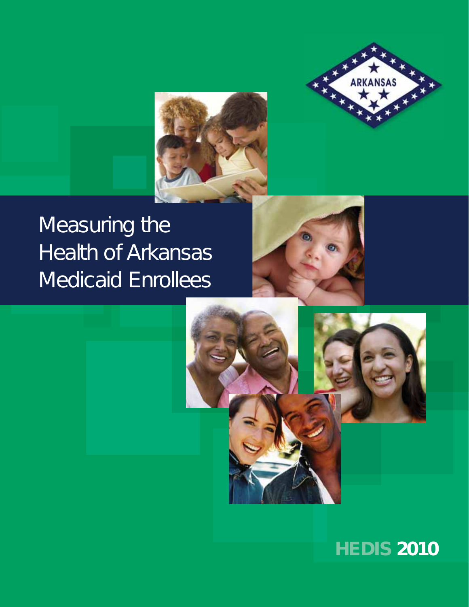



# Measuring the Health of Arkansas Medicaid Enrollees





## **HEDIS 2010**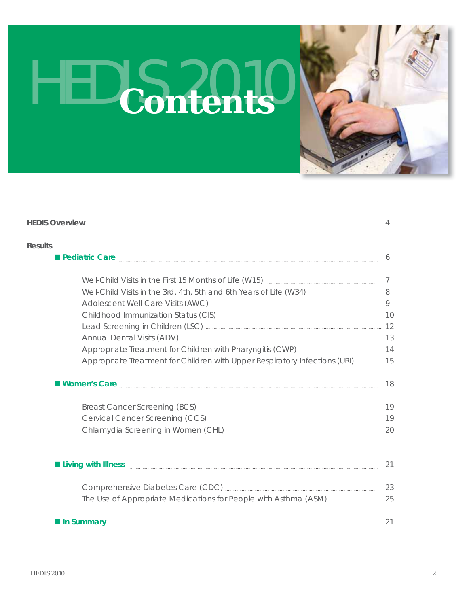

|                |                                                                                                                                                         | 4  |
|----------------|---------------------------------------------------------------------------------------------------------------------------------------------------------|----|
| <b>Results</b> |                                                                                                                                                         |    |
|                | Pediatric Care                                                                                                                                          | 6  |
|                |                                                                                                                                                         |    |
|                |                                                                                                                                                         |    |
|                |                                                                                                                                                         |    |
|                |                                                                                                                                                         |    |
|                |                                                                                                                                                         |    |
|                |                                                                                                                                                         |    |
|                |                                                                                                                                                         |    |
|                | Appropriate Treatment for Children with Upper Respiratory Infections (URI)  15                                                                          |    |
|                |                                                                                                                                                         | 18 |
|                | Breast Cancer Screening (BCS) <b>Election Contract Cancer Screening</b> (BCS)                                                                           | 19 |
|                |                                                                                                                                                         | 19 |
|                | Chlamydia Screening in Women (CHL) <b>2018</b> 20                                                                                                       |    |
|                |                                                                                                                                                         | 21 |
|                | Comprehensive Diabetes Care (CDC) [[11] The Comprehensive Diabetes Care (CDC) [[23] The CODI [[11] The Company Care (CDC] [123] The Company Care (CDC ] |    |
|                | The Use of Appropriate Medications for People with Asthma (ASM)                                                                                         | 25 |
|                | In Summary <b>Execution 21</b> In Summary 21                                                                                                            |    |

HEDIS 2010 **Contents**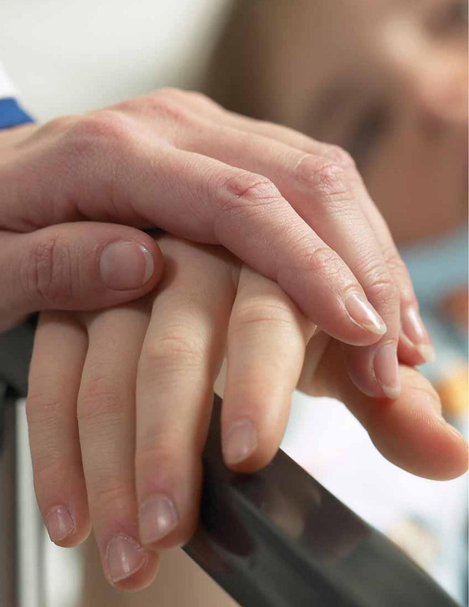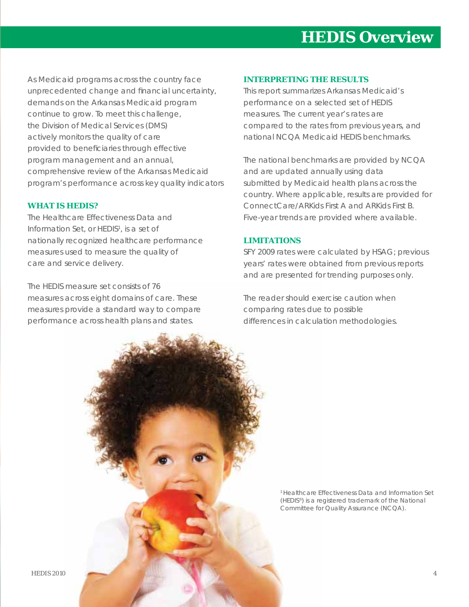## **HEDIS Overview**

As Medicaid programs across the country face unprecedented change and financial uncertainty, demands on the Arkansas Medicaid program continue to grow. To meet this challenge, the Division of Medical Services (DMS) actively monitors the quality of care provided to beneficiaries through effective program management and an annual, comprehensive review of the Arkansas Medicaid program's performance across key quality indicators

#### **WHAT IS HEDIS?**

The Healthcare Effectiveness Data and Information Set, or HEDIS<sup>1</sup>, is a set of nationally recognized healthcare performance measures used to measure the quality of care and service delivery.

The HEDIS measure set consists of 76 measures across eight domains of care. These measures provide a standard way to compare performance across health plans and states.

#### **INTERPRETING THE RESULTS**

This report summarizes Arkansas Medicaid's performance on a selected set of HEDIS measures. The current year's rates are compared to the rates from previous years, and national NCQA Medicaid HEDIS benchmarks.

The national benchmarks are provided by NCQA and are updated annually using data submitted by Medicaid health plans across the country. Where applicable, results are provided for ConnectCare/ARKids First A and ARKids First B. Five-year trends are provided where available.

#### **LIMITATIONS**

SFY 2009 rates were calculated by HSAG; previous years' rates were obtained from previous reports and are presented for trending purposes only.

The reader should exercise caution when comparing rates due to possible differences in calculation methodologies.

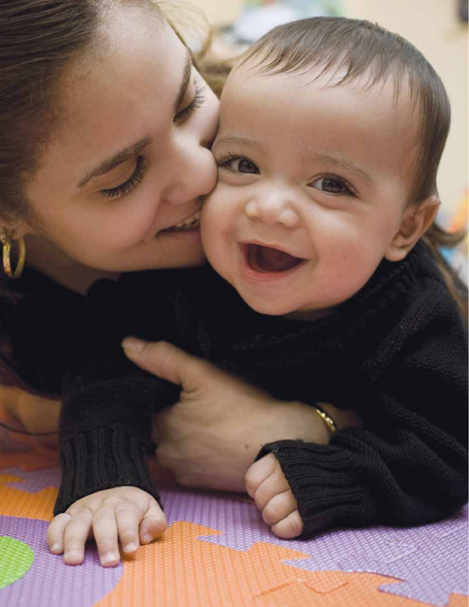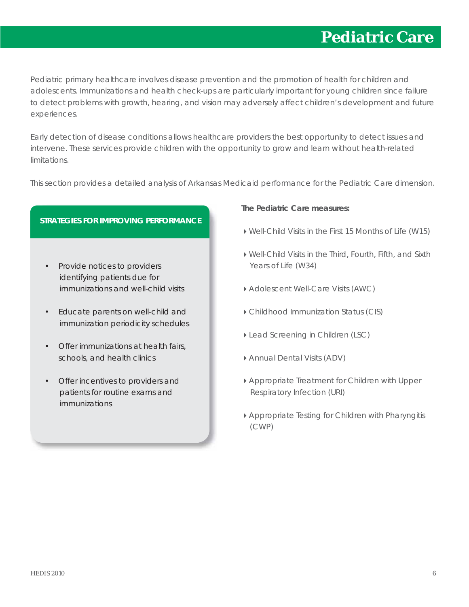## **Pediatric Care**

Pediatric primary healthcare involves disease prevention and the promotion of health for children and adolescents. Immunizations and health check-ups are particularly important for young children since failure to detect problems with growth, hearing, and vision may adversely affect children's development and future experiences.

Early detection of disease conditions allows healthcare providers the best opportunity to detect issues and intervene. These services provide children with the opportunity to grow and learn without health-related limitations.

This section provides a detailed analysis of Arkansas Medicaid performance for the Pediatric Care dimension.

### **STRATEGIES FOR IMPROVING PERFORMANCE**

- Provide notices to providers identifying patients due for immunizations and well-child visits
- Educate parents on well-child and immunization periodicity schedules
- Offer immunizations at health fairs, schools, and health clinics
- Offer incentives to providers and patients for routine exams and immunizations

#### **The Pediatric Care measures:**

- Well-Child Visits in the First 15 Months of Life (W15)
- Well-Child Visits in the Third, Fourth, Fifth, and Sixth Years of Life (W34)
- Adolescent Well-Care Visits (AWC)
- Childhood Immunization Status (CIS)
- Lead Screening in Children (LSC)
- Annual Dental Visits (ADV)
- Appropriate Treatment for Children with Upper Respiratory Infection (URI)
- Appropriate Testing for Children with Pharyngitis (CWP)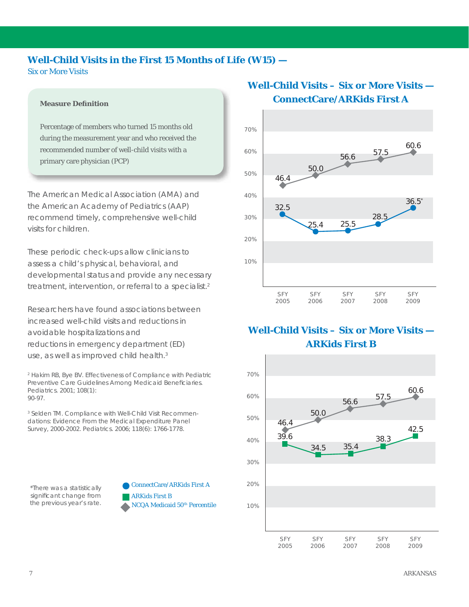### **Well-Child Visits in the First 15 Months of Life (W15) —**

Six or More Visits

#### **Measure Definition**

Percentage of members who turned 15 months old during the measurement year and who received the recommended number of well-child visits with a primary care physician (PCP)

The American Medical Association (AMA) and the American Academy of Pediatrics (AAP) recommend timely, comprehensive well-child visits for children.

These periodic check-ups allow clinicians to assess a child's physical, behavioral, and developmental status and provide any necessary treatment, intervention, or referral to a specialist.<sup>2</sup>

Researchers have found associations between increased well-child visits and reductions in avoidable hospitalizations and reductions in emergency department (ED) use, as well as improved child health.<sup>3</sup>

2 Hakim RB, Bye BV. Effectiveness of Compliance with Pediatric Preventive Care Guidelines Among Medicaid Beneficiaries. Pediatrics. 2001; 108(1): 90-97.

3 Selden TM. Compliance with Well-Child Visit Recommendations: Evidence From the Medical Expenditure Panel Survey, 2000-2002. Pediatrics. 2006; 118(6): 1766-1778.

\*There was a statistically significant change from the previous year's rate.

ConnectCare/ARKids First A ARKids First B NCQA Medicaid 50<sup>th</sup> Percentile

## **Well-Child Visits – Six or More Visits — ConnectCare/ARKids First A**



## **Well-Child Visits – Six or More Visits — ARKids First B**

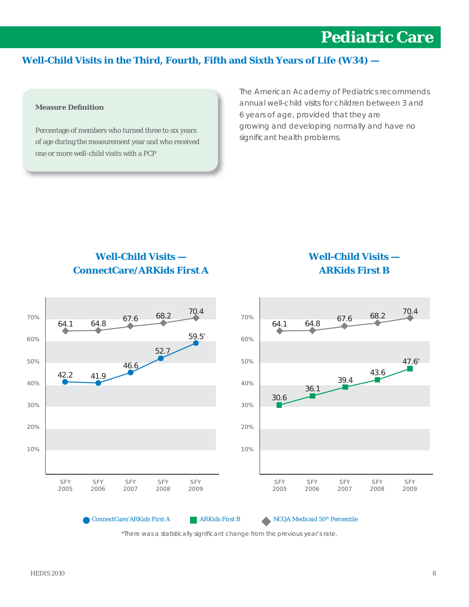## **Pediatric Care**

## **Well-Child Visits in the Third, Fourth, Fifth and Sixth Years of Life (W34) —**

#### **Measure Definition**

Percentage of members who turned three to six years of age during the measurement year and who received one or more well-child visits with a PCP

The American Academy of Pediatrics recommends annual well-child visits for children between 3 and 6 years of age, provided that they are growing and developing normally and have no significant health problems.

## **Well-Child Visits — ConnectCare/ARKids First A**

## **Well-Child Visits — ARKids First B**



\*There was a statistically significant change from the previous year's rate.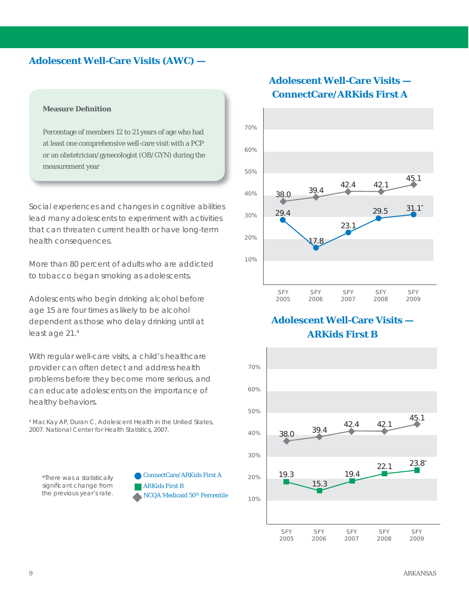### **Adolescent Well-Care Visits (AWC) —**

#### **Measure Definition**

Percentage of members 12 to 21 years of age who had at least one comprehensive well-care visit with a PCP or an obstetrician/gynecologist (OB/GYN) during the measurement year

Social experiences and changes in cognitive abilities lead many adolescents to experiment with activities that can threaten current health or have long-term health consequences.

More than 80 percent of adults who are addicted to tobacco began smoking as adolescents.

Adolescents who begin drinking alcohol before age 15 are four times as likely to be alcohol dependent as those who delay drinking until at least age 21.4

With regular well-care visits, a child's healthcare provider can often detect and address health problems before they become more serious, and can educate adolescents on the importance of healthy behaviors.

4 MacKay AP, Duran C, Adolescent Health in the United States, 2007. National Center for Health Statistics, 2007.

\*There was a statistically significant change from the previous year's rate.

ConnectCare/ARKids First A ARKids First B NCQA Medicaid 50th Percentile

### **Adolescent Well-Care Visits — ConnectCare/ARKids First A**



## **Adolescent Well-Care Visits — ARKids First B**

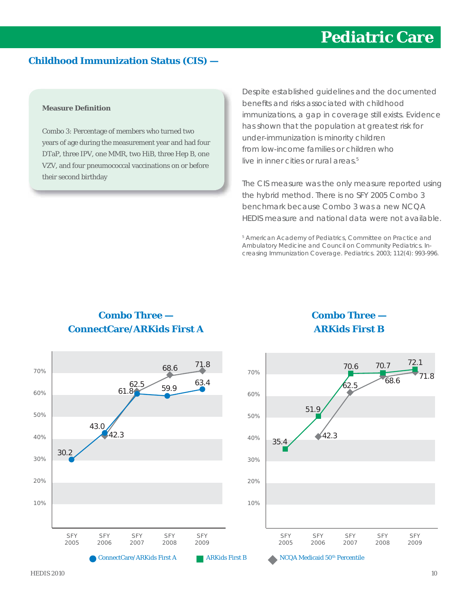### **Childhood Immunization Status (CIS) —**

#### **Measure Definition**

Combo 3: Percentage of members who turned two years of age during the measurement year and had four DTaP, three IPV, one MMR, two HiB, three Hep B, one VZV, and four pneumococcal vaccinations on or before their second birthday

Despite established guidelines and the documented benefits and risks associated with childhood immunizations, a gap in coverage still exists. Evidence has shown that the population at greatest risk for under-immunization is minority children from low-income families or children who live in inner cities or rural areas.<sup>5</sup>

The CIS measure was the only measure reported using the hybrid method. There is no SFY 2005 Combo 3 benchmark because Combo 3 was a new NCQA HEDIS measure and national data were not available.

5 American Academy of Pediatrics, Committee on Practice and Ambulatory Medicine and Council on Community Pediatrics. Increasing Immunization Coverage. Pediatrics. 2003; 112(4): 993-996.

## **Combo Three — ConnectCare/ARKids First A**

## **Combo Three — ARKids First B**

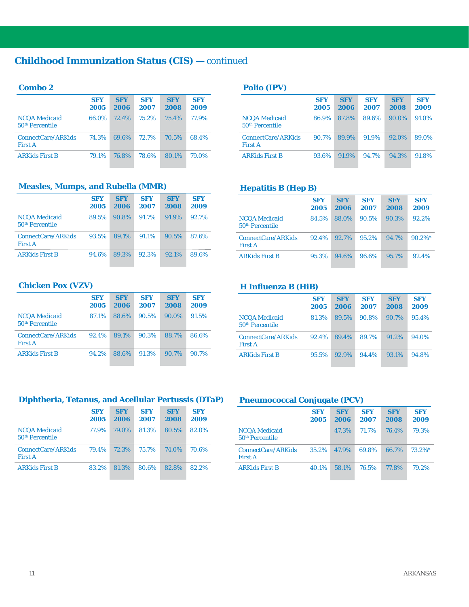## **Childhood Immunization Status (CIS) —** *continued*

#### **Combo 2**

|                                                     | SFY<br>2005 | <b>SFY</b><br>2006 | <b>SFY</b><br>2007 | <b>SFY</b><br>2008 | <b>SFY</b><br>2009 |
|-----------------------------------------------------|-------------|--------------------|--------------------|--------------------|--------------------|
| <b>NCQA</b> Medicaid<br>50 <sup>th</sup> Percentile | 66.0%       | 72.4%              | 75.2%              | 75.4%              | 77.9%              |
| ConnectCare/ARKids<br><b>First A</b>                | 74.3%       | 69.6%              | 72.7%              | 70.5%              | 68.4%              |
| <b>ARKids First B</b>                               | 79.1%       | 76.8%              | 78.6%              | 80.1%              | 79.0%              |

#### **Measles, Mumps, and Rubella (MMR)**

|                                                     | <b>SFY</b><br>2005 | <b>SFY</b><br>2006 | <b>SFY</b><br>2007 | <b>SFY</b><br>2008 | <b>SFY</b><br>2009 |
|-----------------------------------------------------|--------------------|--------------------|--------------------|--------------------|--------------------|
| <b>NCQA</b> Medicaid<br>50 <sup>th</sup> Percentile | 89.5%              | 90.8%              | 91.7%              | 91.9%              | 92.7%              |
| ConnectCare/ARKids<br><b>First A</b>                | 93.5%              | 89.1%              | 91.1%              | 90.5%              | 87.6%              |
| <b>ARKids First B</b>                               | 94.6%              | 89.3%              | 92.3%              | 92.1%              | 89.6%              |

#### **Chicken Pox (VZV)**

|                                                     | SFY<br>2005 | <b>SFY</b><br>2006 | <b>SFY</b><br>2007 | <b>SFY</b><br>2008 | <b>SFY</b><br>2009 |
|-----------------------------------------------------|-------------|--------------------|--------------------|--------------------|--------------------|
| <b>NCQA</b> Medicaid<br>50 <sup>th</sup> Percentile | 87.1%       | 88.6%              | 90.5%              | 90.0%              | 91.5%              |
| <b>ConnectCare/ARKids</b><br><b>First A</b>         | 92.4%       | 89.1%              | 90.3%              | 88.7%              | 86.6%              |
| <b>ARKids First B</b>                               | 94.2%       | 88.6%              | 91.3%              | 90.7%              | 90.7%              |

#### **Diphtheria, Tetanus, and Acellular Pertussis (DTaP)**

|                                                     | <b>SFY</b><br>2005 | <b>SFY</b><br>2006 | <b>SFY</b><br>2007 | <b>SFY</b><br>2008 | SFY<br>2009 |
|-----------------------------------------------------|--------------------|--------------------|--------------------|--------------------|-------------|
| <b>NCQA</b> Medicaid<br>50 <sup>th</sup> Percentile | 77.9%              | 79.0%              | 81.3%              | 80.5%              | 82.0%       |
| ConnectCare/ARKids<br><b>First A</b>                | 79.4%              | 72.3%              | 75.7%              | 74.0%              | 70.6%       |
| <b>ARKids First B</b>                               | 83.2%              | 81.3%              | 80.6%              | 82.8%              | 82.2%       |

#### **Polio (IPV)**

|                                                     | SFY<br>2005 | <b>SFY</b><br>2006 | <b>SFY</b><br>2007 | <b>SFY</b><br>2008 | <b>SFY</b><br>2009 |
|-----------------------------------------------------|-------------|--------------------|--------------------|--------------------|--------------------|
| <b>NCQA</b> Medicaid<br>50 <sup>th</sup> Percentile | 86.9%       | 87.8%              | 89.6%              | 90.0%              | 91.0%              |
| ConnectCare/ARKids<br><b>First A</b>                | 90.7%       | 89.9%              | 91.9%              | 92.0%              | 89.0%              |
| <b>ARKids First B</b>                               | 93.6%       | 91.9%              | 94.7%              | 94.3%              | 91.8%              |

#### **Hepatitis B (Hep B)**

|                                                     | <b>SFY</b><br>2005 | <b>SFY</b><br>2006 | <b>SFY</b><br>2007 | <b>SFY</b><br>2008 | <b>SFY</b><br>2009 |
|-----------------------------------------------------|--------------------|--------------------|--------------------|--------------------|--------------------|
| <b>NCQA</b> Medicaid<br>50 <sup>th</sup> Percentile | 84.5%              | 88.0%              | 90.5%              | 90.3%              | 92.2%              |
| ConnectCare/ARKids<br><b>First A</b>                | 92.4%              | 92.7%              | 95.2%              | 94.7%              | $90.2\%$ *         |
| <b>ARKids First B</b>                               | 95.3%              | 94.6%              | 96.6%              | 95.7%              | 92.4%              |

#### **H Influenza B (HiB)**

|                                                     | <b>SFY</b><br>2005 | <b>SFY</b><br>2006 | SFY<br>2007 | <b>SFY</b><br>2008 | <b>SFY</b><br>2009 |
|-----------------------------------------------------|--------------------|--------------------|-------------|--------------------|--------------------|
| <b>NCQA</b> Medicaid<br>50 <sup>th</sup> Percentile | 81.3%              | 89.5%              | 90.8%       | 90.7%              | 95.4%              |
| ConnectCare/ARKids<br><b>First A</b>                | 92.4%              | 89.4%              | 89.7%       | 91.2%              | 94.0%              |
| <b>ARKids First B</b>                               | 95.5%              | 92.9%              | 94.4%       | 93.1%              | 94.8%              |

#### **Pneumococcal Conjugate (PCV)**

|                                                     | <b>SFY</b><br>2005 | <b>SFY</b><br>2006 | SFY<br>2007 | <b>SFY</b><br>2008 | <b>SFY</b><br>2009 |
|-----------------------------------------------------|--------------------|--------------------|-------------|--------------------|--------------------|
| <b>NCQA</b> Medicaid<br>50 <sup>th</sup> Percentile |                    | 47.3%              | 71.7%       | 76.4%              | 79.3%              |
| ConnectCare/ARKids<br><b>First A</b>                | 35.2%              | 47.9%              | 69.8%       | 66.7%              | $73.2\%*$          |
| <b>ARKids First B</b>                               | 40.1%              | 58.1%              | 76.5%       | 77.8%              | 79.2%              |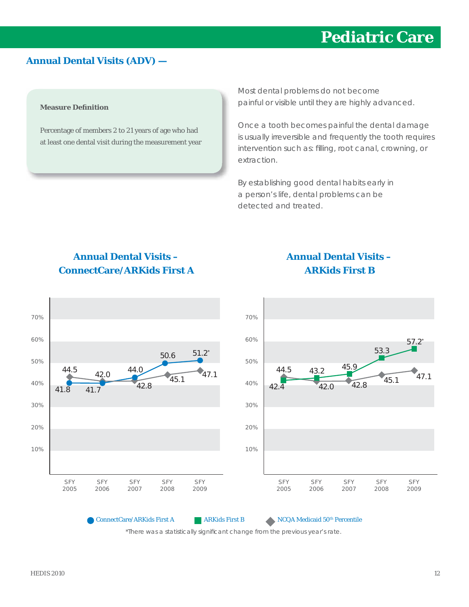## **Pediatric Care**

## **Annual Dental Visits (ADV) —**

#### **Measure Definition**

Percentage of members 2 to 21 years of age who had at least one dental visit during the measurement year Most dental problems do not become painful or visible until they are highly advanced.

Once a tooth becomes painful the dental damage is usually irreversible and frequently the tooth requires intervention such as: filling, root canal, crowning, or extraction.

By establishing good dental habits early in a person's life, dental problems can be detected and treated.

## **Annual Dental Visits – ConnectCare/ARKids First A**

## **Annual Dental Visits – ARKids First B**

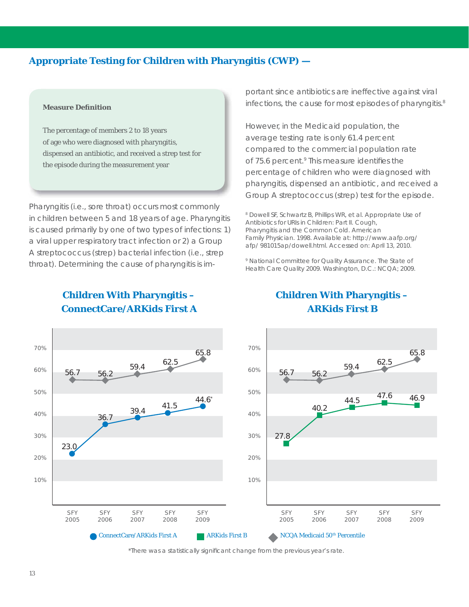## **Appropriate Testing for Children with Pharyngitis (CWP) —**

#### **Measure Definition**

The percentage of members 2 to 18 years of age who were diagnosed with pharyngitis, dispensed an antibiotic, and received a strep test for the episode during the measurement year

Pharyngitis (i.e., sore throat) occurs most commonly in children between 5 and 18 years of age. Pharyngitis is caused primarily by one of two types of infections: 1) a viral upper respiratory tract infection or 2) a Group A streptococcus (strep) bacterial infection (i.e., strep throat). Determining the cause of pharyngitis is important since antibiotics are ineffective against viral infections, the cause for most episodes of pharyngitis.<sup>8</sup>

However, in the Medicaid population, the average testing rate is only 61.4 percent compared to the commercial population rate of 75.6 percent.<sup>9</sup> This measure identifies the percentage of children who were diagnosed with pharyngitis, dispensed an antibiotic, and received a Group A streptococcus (strep) test for the episode.

8 Dowell SF, Schwartz B, Phillips WR, et al. Appropriate Use of Antibiotics for URIs in Children: Part II. Cough, Pharyngitis and the Common Cold. American Family Physician. 1998. Available at: http://www.aafp.org/ afp/ 981015ap/dowell.html. Accessed on: April 13, 2010.

<sup>9</sup> National Committee for Quality Assurance. The State of Health Care Quality 2009. Washington, D.C.: NCQA; 2009.

> **Children With Pharyngitis – ARKids First B**



\*There was a statistically significant change from the previous year's rate.

## **Children With Pharyngitis – ConnectCare/ARKids First A**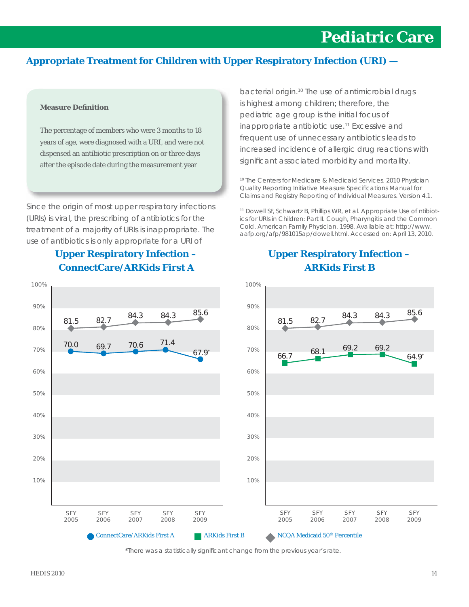## **Pediatric Care**

## **Appropriate Treatment for Children with Upper Respiratory Infection (URI) —**

#### **Measure Definition**

The percentage of members who were 3 months to 18 years of age, were diagnosed with a URI, and were not dispensed an antibiotic prescription on or three days after the episode date during the measurement year

Since the origin of most upper respiratory infections (URIs) is viral, the prescribing of antibiotics for the treatment of a majority of URIs is inappropriate. The use of antibiotics is only appropriate for a URI of

## **Upper Respiratory Infection – ConnectCare/ARKids First A**

bacterial origin.<sup>10</sup> The use of antimicrobial drugs is highest among children; therefore, the pediatric age group is the initial focus of inappropriate antibiotic use.11 Excessive and frequent use of unnecessary antibiotics leads to increased incidence of allergic drug reactions with significant associated morbidity and mortality.

<sup>10</sup> The Centers for Medicare & Medicaid Services. 2010 Physician Quality Reporting Initiative Measure Specifications Manual for Claims and Registry Reporting of Individual Measures. Version 4.1.

11 Dowell SF, Schwartz B, Phillips WR, et al. Appropriate Use of ntibiotics for URIs in Children: Part II. Cough, Pharyngitis and the Common Cold. American Family Physician. 1998. Available at: http://www. aafp.org/afp/981015ap/dowell.html. Accessed on: April 13, 2010.

## **Upper Respiratory Infection – ARKids First B**



\*There was a statistically significant change from the previous year's rate.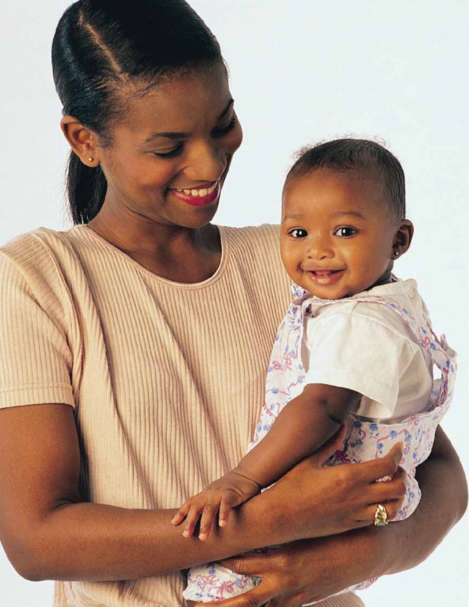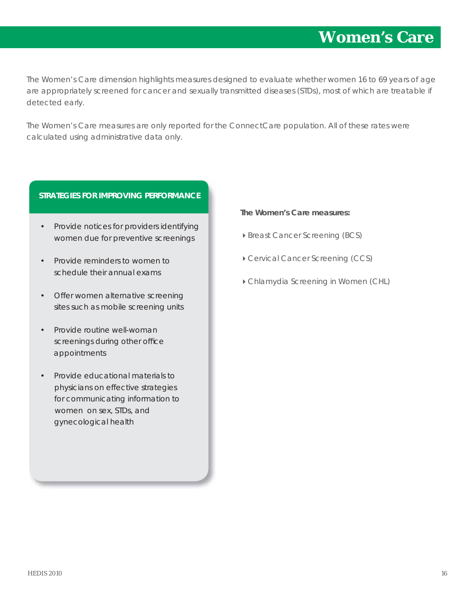The Women's Care dimension highlights measures designed to evaluate whether women 16 to 69 years of age are appropriately screened for cancer and sexually transmitted diseases (STDs), most of which are treatable if detected early.

The Women's Care measures are only reported for the ConnectCare population. All of these rates were calculated using administrative data only.

#### **STRATEGIES FOR IMPROVING PERFORMANCE**

- Provide notices for providers identifying women due for preventive screenings
- Provide reminders to women to schedule their annual exams
- Offer women alternative screening sites such as mobile screening units
- Provide routine well-woman screenings during other office appointments
- Provide educational materials to physicians on effective strategies for communicating information to women on sex, STDs, and gynecological health

#### **The Women's Care measures:**

- Breast Cancer Screening (BCS)
- Cervical Cancer Screening (CCS)
- Chlamydia Screening in Women (CHL)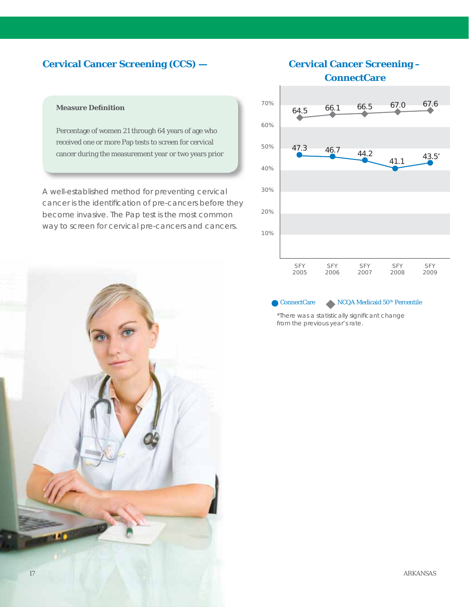## **Cervical Cancer Screening (CCS) —**

#### **Measure Definition**

Percentage of women 21 through 64 years of age who received one or more Pap tests to screen for cervical cancer during the measurement year or two years prior

A well-established method for preventing cervical cancer is the identification of pre-cancers before they become invasive. The Pap test is the most common way to screen for cervical pre-cancers and cancers.





ConnectCare NCQA Medicaid 50<sup>th</sup> Percentile

\*There was a statistically significant change from the previous year's rate.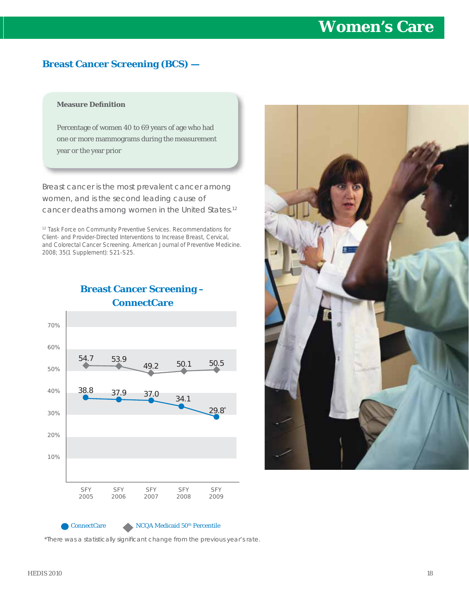## **Women's Care**

## **Breast Cancer Screening (BCS) —**

#### **Measure Definition**

Percentage of women 40 to 69 years of age who had one or more mammograms during the measurement year or the year prior

Breast cancer is the most prevalent cancer among women, and is the second leading cause of cancer deaths among women in the United States.<sup>12</sup>

*12 Task Force on Community Preventive Services. Recommendations for Client- and Provider-Directed Interventions to Increase Breast, Cervical, and Colorectal Cancer Screening. American Journal of Preventive Medicine. 2008; 35(1 Supplement): S21-S25.*



## **Breast Cancer Screening – ConnectCare**



\*There was a statistically significant change from the previous year's rate.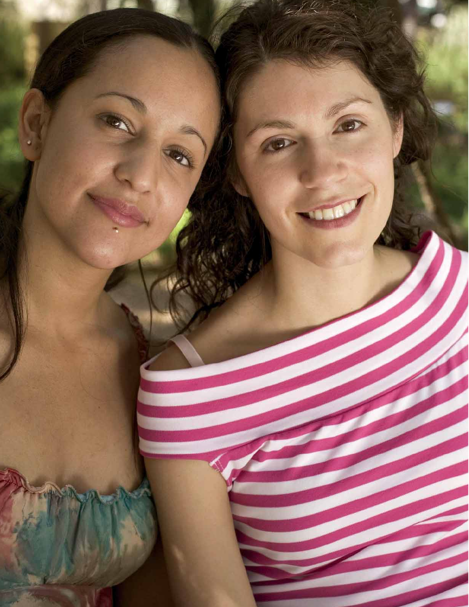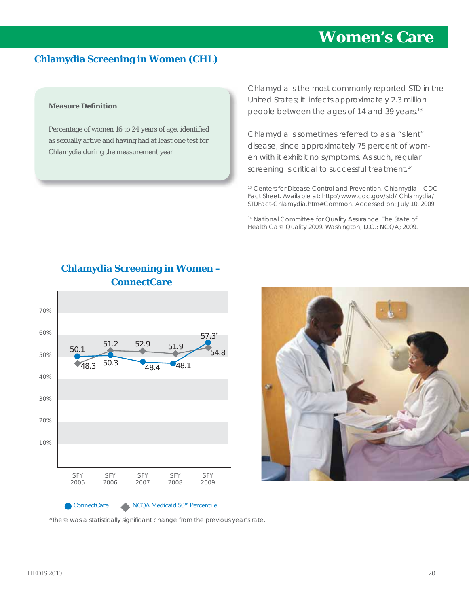## **Women's Care**

## **Chlamydia Screening in Women (CHL)**

#### **Measure Definition**

Percentage of women 16 to 24 years of age, identified as sexually active and having had at least one test for Chlamydia during the measurement year

Chlamydia is the most commonly reported STD in the United States; it infects approximately 2.3 million people between the ages of 14 and 39 years.<sup>13</sup>

Chlamydia is sometimes referred to as a "silent" disease, since approximately 75 percent of women with it exhibit no symptoms. As such, regular screening is critical to successful treatment.<sup>14</sup>

13 Centers for Disease Control and Prevention. Chlamydia—CDC Fact Sheet. Available at: http://www.cdc.gov/std/ Chlamydia/ STDFact-Chlamydia.htm#Common. Accessed on: July 10, 2009.

14 National Committee for Quality Assurance. The State of Health Care Quality 2009. Washington, D.C.: NCQA; 2009.



## **Chlamydia Screening in Women – ConnectCare**



\*There was a statistically significant change from the previous year's rate.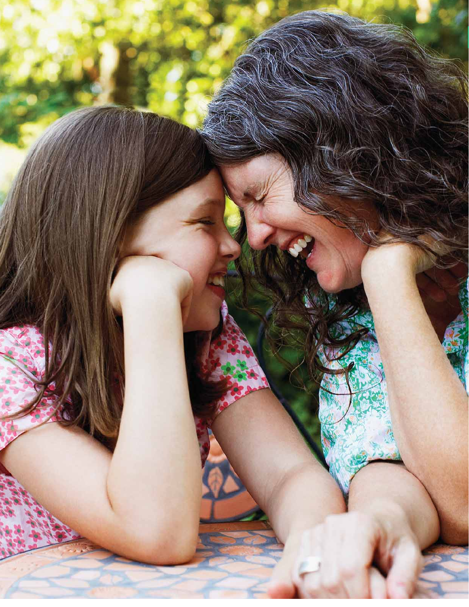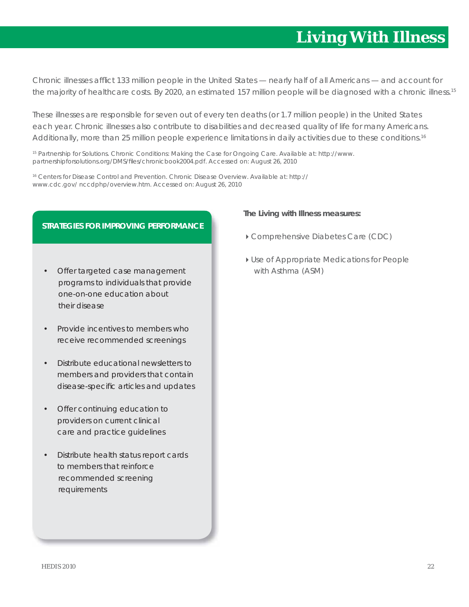## **Living With Illness**

Chronic illnesses afflict 133 million people in the United States — nearly half of all Americans — and account for the majority of healthcare costs. By 2020, an estimated 157 million people will be diagnosed with a chronic illness.<sup>15</sup>

These illnesses are responsible for seven out of every ten deaths (or 1.7 million people) in the United States each year. Chronic illnesses also contribute to disabilities and decreased quality of life for many Americans. Additionally, more than 25 million people experience limitations in daily activities due to these conditions.<sup>16</sup>

15 Partnership for Solutions. Chronic Conditions: Making the Case for Ongoing Care. Available at: http://www. partnershipforsolutions.org/DMS/files/chronicbook2004.pdf. Accessed on: August 26, 2010

16 Centers for Disease Control and Prevention. Chronic Disease Overview. Available at: http:// www.cdc.gov/ nccdphp/overview.htm. Accessed on: August 26, 2010

#### **STRATEGIES FOR IMPROVING PERFORMANCE**

- Offer targeted case management with Asthma (ASM) programs to individuals that provide one-on-one education about their disease
- Provide incentives to members who receive recommended screenings
- Distribute educational newsletters to members and providers that contain disease-specific articles and updates
- Offer continuing education to providers on current clinical care and practice guidelines
- Distribute health status report cards to members that reinforce recommended screening requirements

#### **The Living with Illness measures:**

- Comprehensive Diabetes Care (CDC)
- Use of Appropriate Medications for People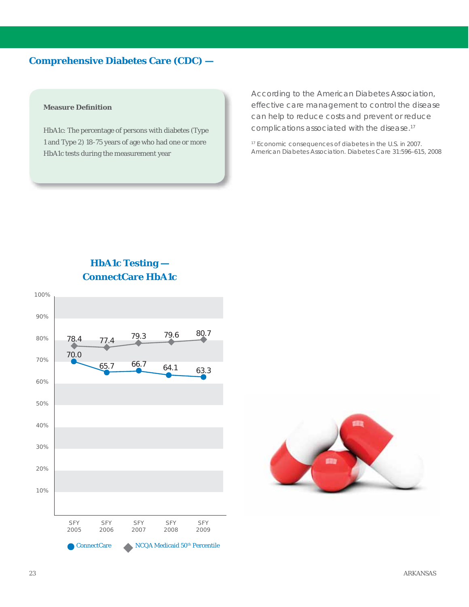## **Comprehensive Diabetes Care (CDC) —**

#### **Measure Definition**

HbA1c: The percentage of persons with diabetes (Type 1 and Type 2) 18-75 years of age who had one or more HbA1c tests during the measurement year

According to the American Diabetes Association, effective care management to control the disease can help to reduce costs and prevent or reduce complications associated with the disease.17

17 Economic consequences of diabetes in the U.S. in 2007. American Diabetes Association. Diabetes Care 31:596–615, 2008



**HbA1c Testing — ConnectCare HbA1c**

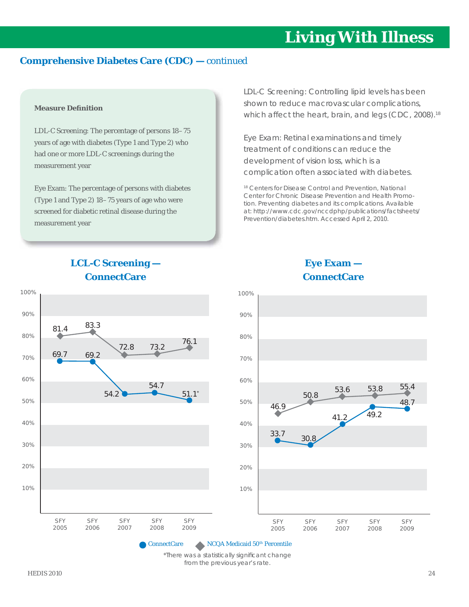## **Living With Illness**

### **Comprehensive Diabetes Care (CDC) —** *continued*

#### **Measure Definition**

LDL-C Screening: The percentage of persons 18–75 years of age with diabetes (Type 1 and Type 2) who had one or more LDL-C screenings during the measurement year

Eye Exam: The percentage of persons with diabetes (Type 1 and Type 2) 18–75 years of age who were screened for diabetic retinal disease during the measurement year

LDL-C Screening: Controlling lipid levels has been shown to reduce macrovascular complications, which affect the heart, brain, and legs (CDC, 2008).<sup>18</sup>

Eye Exam: Retinal examinations and timely treatment of conditions can reduce the development of vision loss, which is a complication often associated with diabetes.

<sup>18</sup> Centers for Disease Control and Prevention, National Center for Chronic Disease Prevention and Health Promotion. Preventing diabetes and its complications. Available at: http://www.cdc.gov/nccdphp/publications/factsheets/ Prevention/diabetes.htm. Accessed April 2, 2010.



\*There was a statistically significant change from the previous year's rate.

## **LCL-C Screening — ConnectCare**

### **Eye Exam — ConnectCare**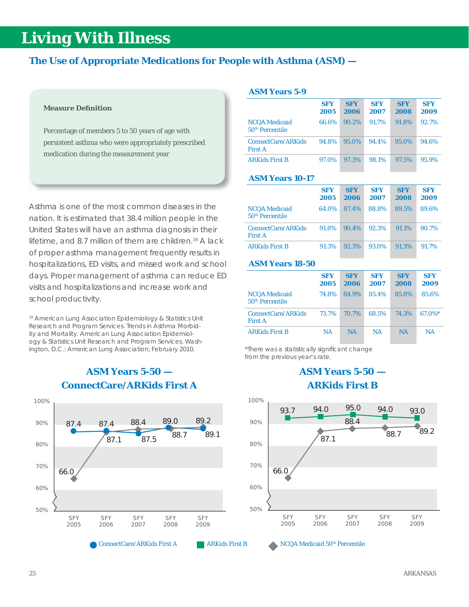## **Living With Illness**

## **The Use of Appropriate Medications for People with Asthma (ASM) —**

#### **Measure Definition**

Percentage of members 5 to 50 years of age with persistent asthma who were appropriately prescribed medication during the measurement year

Asthma is one of the most common diseases in the nation. It is estimated that 38.4 million people in the United States will have an asthma diagnosis in their lifetime, and 8.7 million of them are children.<sup>19</sup> A lack of proper asthma management frequently results in hospitalizations, ED visits, and missed work and school days. Proper management of asthma can reduce ED visits and hospitalizations and increase work and school productivity.

19 American Lung Association Epidemiology & Statistics Unit Research and Program Services. Trends in Asthma Morbidity and Mortality. American Lung Association Epidemiology & Statistics Unit Research and Program Services. Washington, D.C.: American Lung Association; February 2010.



### **ASM Years 5-50 — ConnectCare/ARKids First A**

#### **ASM Years 5-9**

|                                                     | <b>SFY</b><br>2005 | <b>SFY</b><br>2006 | <b>SFY</b><br>2007 | <b>SFY</b><br>2008 | <b>SFY</b><br>2009 |
|-----------------------------------------------------|--------------------|--------------------|--------------------|--------------------|--------------------|
| <b>NCQA</b> Medicaid<br>50 <sup>th</sup> Percentile | 66.6%              | 90.2%              | 91.7%              | 91.8%              | 92.7%              |
| ConnectCare/ARKids<br><b>First A</b>                | 94.8%              | 95.0%              | 94.4%              | 95.0%              | 94.6%              |
| <b>ARKids First B</b>                               | 97.0%              | 97.3%              | 98.1%              | 97.5%              | 95.9%              |

#### **ASM Years 10-17**

|                                                     | <b>SFY</b> | <b>SFY</b> | <b>SFY</b> | <b>SFY</b> | <b>SFY</b> |
|-----------------------------------------------------|------------|------------|------------|------------|------------|
|                                                     | 2005       | 2006       | 2007       | 2008       | 2009       |
| <b>NCQA</b> Medicaid<br>50 <sup>th</sup> Percentile | 64.0%      | 87.4%      | 88.8%      | 89.5%      | 89.6%      |
| ConnectCare/ARKids<br><b>First A</b>                | 91.8%      | 90.4%      | 92.3%      | 91.1%      | 90.7%      |
| <b>ARKids First B</b>                               | 91.3%      | 92.3%      | 93.0%      | 91.3%      | 91.7%      |

#### **ASM Years 18-50**

|                                                     | <b>SFY</b><br>2005 | <b>SFY</b><br>2006 | <b>SFY</b><br>2007 | <b>SFY</b><br>2008 | <b>SFY</b><br>2009 |
|-----------------------------------------------------|--------------------|--------------------|--------------------|--------------------|--------------------|
| <b>NCQA</b> Medicaid<br>50 <sup>th</sup> Percentile | 74.8%              | 84.9%              | 85.4%              | 85.8%              | 85.6%              |
| ConnectCare/ARKids<br><b>First A</b>                | 73.7%              | 70.7%              | 68.5%              | 74.3%              | 67.0%*             |
| <b>ARKids First B</b>                               | NA                 | <b>NA</b>          | ΝA                 | <b>NA</b>          | NΑ                 |

\*There was a statistically significant change from the previous year's rate.

## **ASM Years 5-50 — ARKids First B**

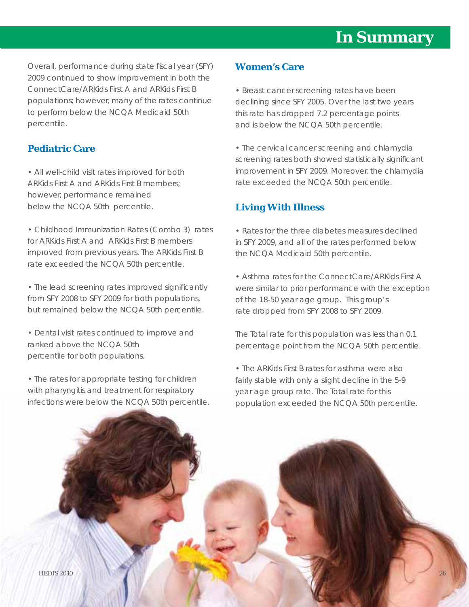Overall, performance during state fiscal year (SFY) 2009 continued to show improvement in both the ConnectCare/ARKids First A and ARKids First B populations; however, many of the rates continue to perform below the NCQA Medicaid 50th percentile.

### **Pediatric Care**

• All well-child visit rates improved for both ARKids First A and ARKids First B members; however, performance remained below the NCQA 50th percentile.

• Childhood Immunization Rates (Combo 3) rates for ARKids First A and ARKids First B members improved from previous years. The ARKids First B rate exceeded the NCQA 50th percentile.

• The lead screening rates improved significantly from SFY 2008 to SFY 2009 for both populations, but remained below the NCQA 50th percentile.

• Dental visit rates continued to improve and ranked above the NCQA 50th percentile for both populations.

• The rates for appropriate testing for children with pharyngitis and treatment for respiratory infections were below the NCQA 50th percentile.

### **Women's Care**

• Breast cancer screening rates have been declining since SFY 2005. Over the last two years this rate has dropped 7.2 percentage points and is below the NCQA 50th percentile.

• The cervical cancer screening and chlamydia screening rates both showed statistically significant improvement in SFY 2009. Moreover, the chlamydia rate exceeded the NCQA 50th percentile.

### **Living With Illness**

• Rates for the three diabetes measures declined in SFY 2009, and all of the rates performed below the NCQA Medicaid 50th percentile.

• Asthma rates for the ConnectCare/ARKids First A were similar to prior performance with the exception of the 18-50 year age group. This group's rate dropped from SFY 2008 to SFY 2009.

The Total rate for this population was less than 0.1 percentage point from the NCQA 50th percentile.

• The ARKids First B rates for asthma were also fairly stable with only a slight decline in the 5-9 year age group rate. The Total rate for this population exceeded the NCQA 50th percentile.